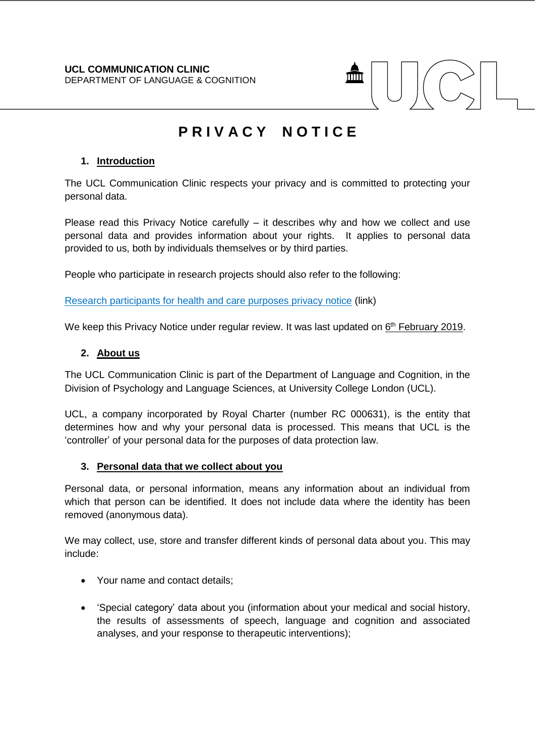

# **P R I V A C Y N O T I C E**

# **1. Introduction**

The UCL Communication Clinic respects your privacy and is committed to protecting your personal data.

Please read this Privacy Notice carefully – it describes why and how we collect and use personal data and provides information about your rights. It applies to personal data provided to us, both by individuals themselves or by third parties.

People who participate in research projects should also refer to the following:

[Research participants for health and care purposes privacy notice](https://www.ucl.ac.uk/legal-services/privacy/participants-health-and-care-research-privacy-notice) (link)

We keep this Privacy Notice under regular review. It was last updated on 6<sup>th</sup> February 2019.

#### **2. About us**

The UCL Communication Clinic is part of the Department of Language and Cognition, in the Division of Psychology and Language Sciences, at University College London (UCL).

UCL, a company incorporated by Royal Charter (number RC 000631), is the entity that determines how and why your personal data is processed. This means that UCL is the 'controller' of your personal data for the purposes of data protection law.

#### **3. Personal data that we collect about you**

Personal data, or personal information, means any information about an individual from which that person can be identified. It does not include data where the identity has been removed (anonymous data).

We may collect, use, store and transfer different kinds of personal data about you. This may include:

- Your name and contact details;
- 'Special category' data about you (information about your medical and social history, the results of assessments of speech, language and cognition and associated analyses, and your response to therapeutic interventions);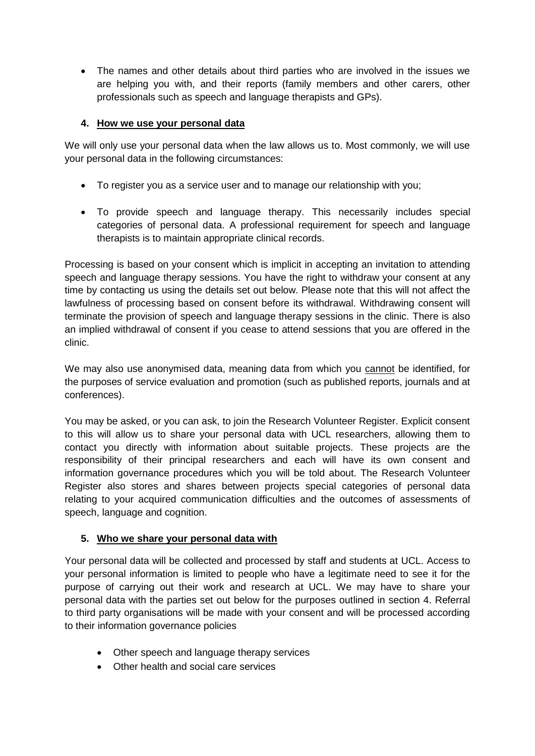The names and other details about third parties who are involved in the issues we are helping you with, and their reports (family members and other carers, other professionals such as speech and language therapists and GPs).

## **4. How we use your personal data**

We will only use your personal data when the law allows us to. Most commonly, we will use your personal data in the following circumstances:

- To register you as a service user and to manage our relationship with you;
- To provide speech and language therapy. This necessarily includes special categories of personal data. A professional requirement for speech and language therapists is to maintain appropriate clinical records.

Processing is based on your consent which is implicit in accepting an invitation to attending speech and language therapy sessions. You have the right to withdraw your consent at any time by contacting us using the details set out below. Please note that this will not affect the lawfulness of processing based on consent before its withdrawal. Withdrawing consent will terminate the provision of speech and language therapy sessions in the clinic. There is also an implied withdrawal of consent if you cease to attend sessions that you are offered in the clinic.

We may also use anonymised data, meaning data from which you cannot be identified, for the purposes of service evaluation and promotion (such as published reports, journals and at conferences).

You may be asked, or you can ask, to join the Research Volunteer Register. Explicit consent to this will allow us to share your personal data with UCL researchers, allowing them to contact you directly with information about suitable projects. These projects are the responsibility of their principal researchers and each will have its own consent and information governance procedures which you will be told about. The Research Volunteer Register also stores and shares between projects special categories of personal data relating to your acquired communication difficulties and the outcomes of assessments of speech, language and cognition.

## **5. Who we share your personal data with**

Your personal data will be collected and processed by staff and students at UCL. Access to your personal information is limited to people who have a legitimate need to see it for the purpose of carrying out their work and research at UCL. We may have to share your personal data with the parties set out below for the purposes outlined in section 4. Referral to third party organisations will be made with your consent and will be processed according to their information governance policies

- Other speech and language therapy services
- Other health and social care services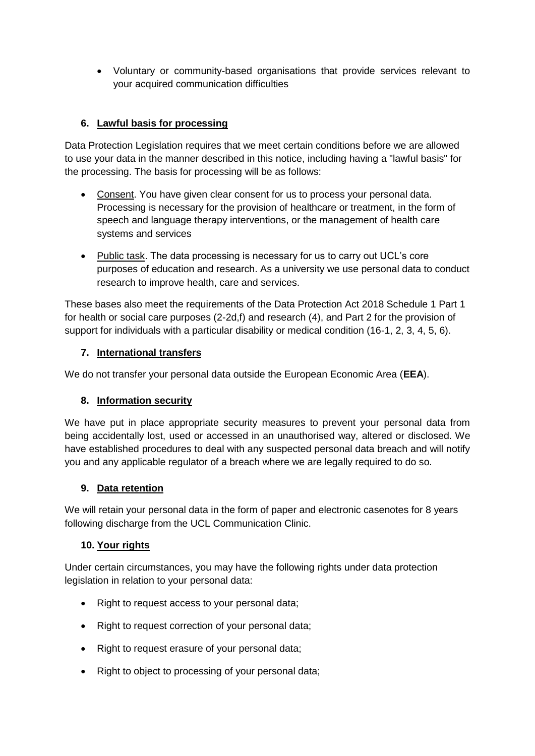Voluntary or community-based organisations that provide services relevant to your acquired communication difficulties

# **6. Lawful basis for processing**

Data Protection Legislation requires that we meet certain conditions before we are allowed to use your data in the manner described in this notice, including having a "lawful basis" for the processing. The basis for processing will be as follows:

- Consent. You have given clear consent for us to process your personal data. Processing is necessary for the provision of healthcare or treatment, in the form of speech and language therapy interventions, or the management of health care systems and services
- Public task. The data processing is necessary for us to carry out UCL's core purposes of education and research. As a university we use personal data to conduct research to improve health, care and services.

These bases also meet the requirements of the Data Protection Act 2018 Schedule 1 Part 1 for health or social care purposes (2-2d,f) and research (4), and Part 2 for the provision of support for individuals with a particular disability or medical condition (16-1, 2, 3, 4, 5, 6).

## **7. International transfers**

We do not transfer your personal data outside the European Economic Area (**EEA**).

## **8. Information security**

We have put in place appropriate security measures to prevent your personal data from being accidentally lost, used or accessed in an unauthorised way, altered or disclosed. We have established procedures to deal with any suspected personal data breach and will notify you and any applicable regulator of a breach where we are legally required to do so.

## **9. Data retention**

We will retain your personal data in the form of paper and electronic casenotes for 8 years following discharge from the UCL Communication Clinic.

## **10. Your rights**

Under certain circumstances, you may have the following rights under data protection legislation in relation to your personal data:

- Right to request access to your personal data;
- Right to request correction of your personal data;
- Right to request erasure of your personal data;
- Right to object to processing of your personal data;